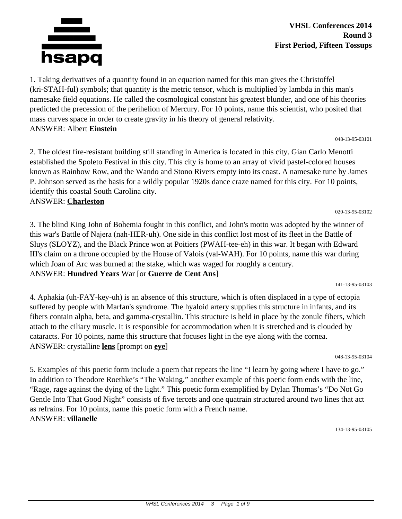

**VHSL Conferences 2014 Round 3 First Period, Fifteen Tossups**

1. Taking derivatives of a quantity found in an equation named for this man gives the Christoffel (kri-STAH-ful) symbols; that quantity is the metric tensor, which is multiplied by lambda in this man's namesake field equations. He called the cosmological constant his greatest blunder, and one of his theories predicted the precession of the perihelion of Mercury. For 10 points, name this scientist, who posited that mass curves space in order to create gravity in his theory of general relativity. ANSWER: Albert **Einstein**

048-13-95-03101

2. The oldest fire-resistant building still standing in America is located in this city. Gian Carlo Menotti established the Spoleto Festival in this city. This city is home to an array of vivid pastel-colored houses known as Rainbow Row, and the Wando and Stono Rivers empty into its coast. A namesake tune by James P. Johnson served as the basis for a wildly popular 1920s dance craze named for this city. For 10 points, identify this coastal South Carolina city.

### ANSWER: **Charleston**

3. The blind King John of Bohemia fought in this conflict, and John's motto was adopted by the winner of this war's Battle of Najera (nah-HER-uh). One side in this conflict lost most of its fleet in the Battle of Sluys (SLOYZ), and the Black Prince won at Poitiers (PWAH-tee-eh) in this war. It began with Edward III's claim on a throne occupied by the House of Valois (val-WAH). For 10 points, name this war during which Joan of Arc was burned at the stake, which was waged for roughly a century. ANSWER: **Hundred Years** War [or **Guerre de Cent Ans**]

141-13-95-03103

020-13-95-03102

4. Aphakia (uh-FAY-key-uh) is an absence of this structure, which is often displaced in a type of ectopia suffered by people with Marfan's syndrome. The hyaloid artery supplies this structure in infants, and its fibers contain alpha, beta, and gamma-crystallin. This structure is held in place by the zonule fibers, which attach to the ciliary muscle. It is responsible for accommodation when it is stretched and is clouded by cataracts. For 10 points, name this structure that focuses light in the eye along with the cornea. ANSWER: crystalline **lens** [prompt on **eye**]

048-13-95-03104

5. Examples of this poetic form include a poem that repeats the line "I learn by going where I have to go." In addition to Theodore Roethke's "The Waking," another example of this poetic form ends with the line, "Rage, rage against the dying of the light." This poetic form exemplified by Dylan Thomas's "Do Not Go Gentle Into That Good Night" consists of five tercets and one quatrain structured around two lines that act as refrains. For 10 points, name this poetic form with a French name. ANSWER: **villanelle**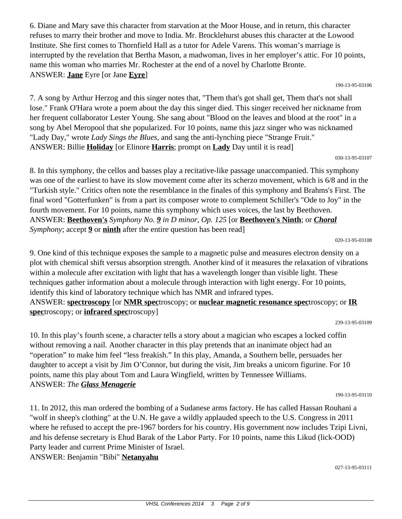6. Diane and Mary save this character from starvation at the Moor House, and in return, this character refuses to marry their brother and move to India. Mr. Brocklehurst abuses this character at the Lowood Institute. She first comes to Thornfield Hall as a tutor for Adele Varens. This woman's marriage is interrupted by the revelation that Bertha Mason, a madwoman, lives in her employer's attic. For 10 points, name this woman who marries Mr. Rochester at the end of a novel by Charlotte Bronte. ANSWER: **Jane** Eyre [or Jane **Eyre**]

190-13-95-03106

7. A song by Arthur Herzog and this singer notes that, "Them that's got shall get, Them that's not shall lose." Frank O'Hara wrote a poem about the day this singer died. This singer received her nickname from her frequent collaborator Lester Young. She sang about "Blood on the leaves and blood at the root" in a song by Abel Meropool that she popularized. For 10 points, name this jazz singer who was nicknamed "Lady Day," wrote *Lady Sings the Blues,* and sang the anti-lynching piece "Strange Fruit." ANSWER: Billie **Holiday** [or Elinore **Harris**; prompt on **Lady** Day until it is read]

030-13-95-03107

8. In this symphony, the cellos and basses play a recitative-like passage unaccompanied. This symphony was one of the earliest to have its slow movement come after its scherzo movement, which is 6/8 and in the "Turkish style." Critics often note the resemblance in the finales of this symphony and Brahms's First. The final word "Gotterfunken" is from a part its composer wrote to complement Schiller's "Ode to Joy" in the fourth movement. For 10 points, name this symphony which uses voices, the last by Beethoven. ANSWER: **Beethoven's** *Symphony No. 9 in D minor, Op. 125* [or **Beethoven's Ninth**; or *Choral Symphony*; accept **9** or **ninth** after the entire question has been read]

020-13-95-03108

9. One kind of this technique exposes the sample to a magnetic pulse and measures electron density on a plot with chemical shift versus absorption strength. Another kind of it measures the relaxation of vibrations within a molecule after excitation with light that has a wavelength longer than visible light. These techniques gather information about a molecule through interaction with light energy. For 10 points, identify this kind of laboratory technique which has NMR and infrared types. ANSWER: **spectroscopy** [or **NMR spec**troscopy; or **nuclear magnetic resonance spec**troscopy; or **IR spec**troscopy; or **infrared spec**troscopy]

239-13-95-03109

10. In this play's fourth scene, a character tells a story about a magician who escapes a locked coffin without removing a nail. Another character in this play pretends that an inanimate object had an "operation" to make him feel "less freakish." In this play, Amanda, a Southern belle, persuades her daughter to accept a visit by Jim O'Connor, but during the visit, Jim breaks a unicorn figurine. For 10 points, name this play about Tom and Laura Wingfield, written by Tennessee Williams. ANSWER: *The Glass Menagerie*

190-13-95-03110

11. In 2012, this man ordered the bombing of a Sudanese arms factory. He has called Hassan Rouhani a "wolf in sheep's clothing" at the U.N. He gave a wildly applauded speech to the U.S. Congress in 2011 where he refused to accept the pre-1967 borders for his country. His government now includes Tzipi Livni, and his defense secretary is Ehud Barak of the Labor Party. For 10 points, name this Likud (lick-OOD) Party leader and current Prime Minister of Israel.

ANSWER: Benjamin "Bibi" **Netanyahu**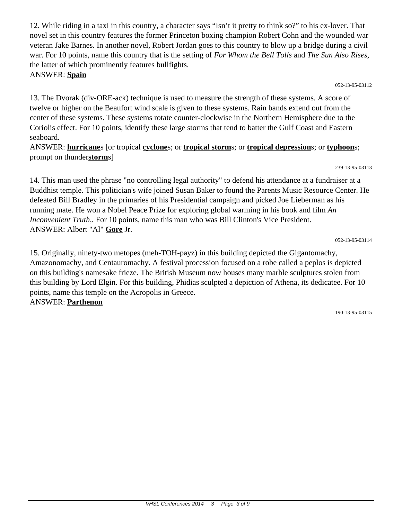12. While riding in a taxi in this country, a character says "Isn't it pretty to think so?" to his ex-lover. That novel set in this country features the former Princeton boxing champion Robert Cohn and the wounded war veteran Jake Barnes. In another novel, Robert Jordan goes to this country to blow up a bridge during a civil war. For 10 points, name this country that is the setting of *For Whom the Bell Tolls* and *The Sun Also Rises,* the latter of which prominently features bullfights. ANSWER: **Spain**

052-13-95-03112

13. The Dvorak (div-ORE-ack) technique is used to measure the strength of these systems. A score of twelve or higher on the Beaufort wind scale is given to these systems. Rain bands extend out from the center of these systems. These systems rotate counter-clockwise in the Northern Hemisphere due to the Coriolis effect. For 10 points, identify these large storms that tend to batter the Gulf Coast and Eastern seaboard.

## ANSWER: **hurricane**s [or tropical **cyclone**s; or **tropical storm**s; or **tropical depression**s; or **typhoon**s; prompt on thunder**storm**s]

239-13-95-03113

14. This man used the phrase "no controlling legal authority" to defend his attendance at a fundraiser at a Buddhist temple. This politician's wife joined Susan Baker to found the Parents Music Resource Center. He defeated Bill Bradley in the primaries of his Presidential campaign and picked Joe Lieberman as his running mate. He won a Nobel Peace Prize for exploring global warming in his book and film *An Inconvenient Truth,.* For 10 points, name this man who was Bill Clinton's Vice President. ANSWER: Albert "Al" **Gore** Jr.

052-13-95-03114

15. Originally, ninety-two metopes (meh-TOH-payz) in this building depicted the Gigantomachy, Amazonomachy, and Centauromachy. A festival procession focused on a robe called a peplos is depicted on this building's namesake frieze. The British Museum now houses many marble sculptures stolen from this building by Lord Elgin. For this building, Phidias sculpted a depiction of Athena, its dedicatee. For 10 points, name this temple on the Acropolis in Greece. ANSWER: **Parthenon**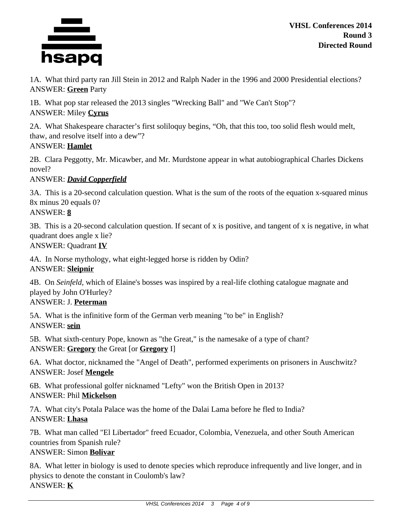

1A. What third party ran Jill Stein in 2012 and Ralph Nader in the 1996 and 2000 Presidential elections? ANSWER: **Green** Party

1B. What pop star released the 2013 singles "Wrecking Ball" and "We Can't Stop"? ANSWER: Miley **Cyrus**

2A. What Shakespeare character's first soliloquy begins, "Oh, that this too, too solid flesh would melt, thaw, and resolve itself into a dew"? ANSWER: **Hamlet**

2B. Clara Peggotty, Mr. Micawber, and Mr. Murdstone appear in what autobiographical Charles Dickens novel?

ANSWER: *David Copperfield*

3A. This is a 20-second calculation question. What is the sum of the roots of the equation x-squared minus 8x minus 20 equals 0? ANSWER: **8**

3B. This is a 20-second calculation question. If secant of x is positive, and tangent of x is negative, in what quadrant does angle x lie? ANSWER: Quadrant **IV**

4A. In Norse mythology, what eight-legged horse is ridden by Odin? ANSWER: **Sleipnir**

4B. On *Seinfeld,* which of Elaine's bosses was inspired by a real-life clothing catalogue magnate and played by John O'Hurley?

ANSWER: J. **Peterman**

5A. What is the infinitive form of the German verb meaning "to be" in English? ANSWER: **sein**

5B. What sixth-century Pope, known as "the Great," is the namesake of a type of chant? ANSWER: **Gregory** the Great [or **Gregory** I]

6A. What doctor, nicknamed the "Angel of Death", performed experiments on prisoners in Auschwitz? ANSWER: Josef **Mengele**

6B. What professional golfer nicknamed "Lefty" won the British Open in 2013? ANSWER: Phil **Mickelson**

7A. What city's Potala Palace was the home of the Dalai Lama before he fled to India? ANSWER: **Lhasa**

7B. What man called "El Libertador" freed Ecuador, Colombia, Venezuela, and other South American countries from Spanish rule?

# ANSWER: Simon **Bolivar**

8A. What letter in biology is used to denote species which reproduce infrequently and live longer, and in physics to denote the constant in Coulomb's law? ANSWER: **K**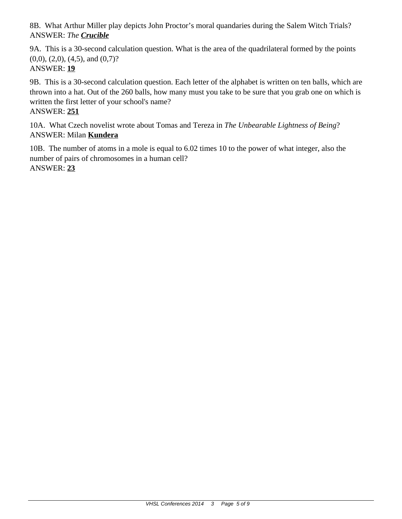8B. What Arthur Miller play depicts John Proctor's moral quandaries during the Salem Witch Trials? ANSWER: *The Crucible*

9A. This is a 30-second calculation question. What is the area of the quadrilateral formed by the points  $(0,0)$ ,  $(2,0)$ ,  $(4,5)$ , and  $(0,7)$ ? ANSWER: **19**

9B. This is a 30-second calculation question. Each letter of the alphabet is written on ten balls, which are thrown into a hat. Out of the 260 balls, how many must you take to be sure that you grab one on which is written the first letter of your school's name?

ANSWER: **251**

10A. What Czech novelist wrote about Tomas and Tereza in *The Unbearable Lightness of Being*? ANSWER: Milan **Kundera**

10B. The number of atoms in a mole is equal to 6.02 times 10 to the power of what integer, also the number of pairs of chromosomes in a human cell? ANSWER: **23**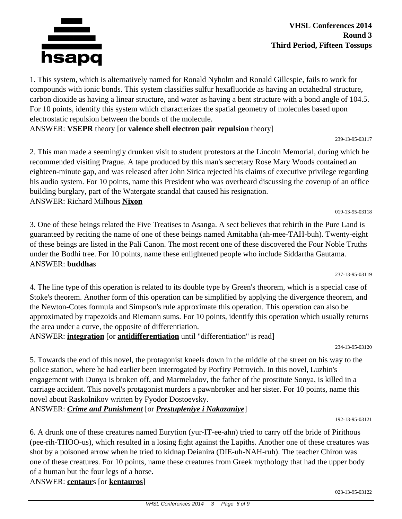**VHSL Conferences 2014 Round 3 Third Period, Fifteen Tossups**

1. This system, which is alternatively named for Ronald Nyholm and Ronald Gillespie, fails to work for compounds with ionic bonds. This system classifies sulfur hexafluoride as having an octahedral structure, carbon dioxide as having a linear structure, and water as having a bent structure with a bond angle of 104.5. For 10 points, identify this system which characterizes the spatial geometry of molecules based upon electrostatic repulsion between the bonds of the molecule.

ANSWER: **VSEPR** theory [or **valence shell electron pair repulsion** theory]

2. This man made a seemingly drunken visit to student protestors at the Lincoln Memorial, during which he recommended visiting Prague. A tape produced by this man's secretary Rose Mary Woods contained an eighteen-minute gap, and was released after John Sirica rejected his claims of executive privilege regarding his audio system. For 10 points, name this President who was overheard discussing the coverup of an office building burglary, part of the Watergate scandal that caused his resignation. ANSWER: Richard Milhous **Nixon**

3. One of these beings related the Five Treatises to Asanga. A sect believes that rebirth in the Pure Land is guaranteed by reciting the name of one of these beings named Amitabha (ah-mee-TAH-buh). Twenty-eight of these beings are listed in the Pali Canon. The most recent one of these discovered the Four Noble Truths under the Bodhi tree. For 10 points, name these enlightened people who include Siddartha Gautama. ANSWER: **buddha**s

4. The line type of this operation is related to its double type by Green's theorem, which is a special case of Stoke's theorem. Another form of this operation can be simplified by applying the divergence theorem, and the Newton-Cotes formula and Simpson's rule approximate this operation. This operation can also be approximated by trapezoids and Riemann sums. For 10 points, identify this operation which usually returns the area under a curve, the opposite of differentiation.

ANSWER: **integration** [or **antidifferentiation** until "differentiation" is read]

5. Towards the end of this novel, the protagonist kneels down in the middle of the street on his way to the police station, where he had earlier been interrogated by Porfiry Petrovich. In this novel, Luzhin's engagement with Dunya is broken off, and Marmeladov, the father of the prostitute Sonya, is killed in a carriage accident. This novel's protagonist murders a pawnbroker and her sister. For 10 points, name this novel about Raskolnikov written by Fyodor Dostoevsky.

# ANSWER: *Crime and Punishment* [or *Prestupleniye i Nakazaniye*]

6. A drunk one of these creatures named Eurytion (yur-IT-ee-ahn) tried to carry off the bride of Pirithous (pee-rih-THOO-us), which resulted in a losing fight against the Lapiths. Another one of these creatures was shot by a poisoned arrow when he tried to kidnap Deianira (DIE-uh-NAH-ruh). The teacher Chiron was one of these creatures. For 10 points, name these creatures from Greek mythology that had the upper body of a human but the four legs of a horse.

ANSWER: **centaur**s [or **kentauros**]

# hsapq

239-13-95-03117

234-13-95-03120

192-13-95-03121

237-13-95-03119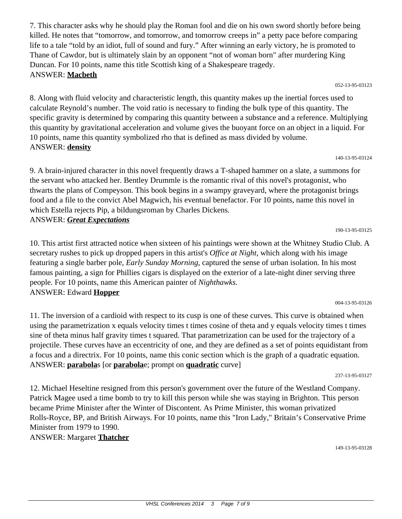7. This character asks why he should play the Roman fool and die on his own sword shortly before being killed. He notes that "tomorrow, and tomorrow, and tomorrow creeps in" a petty pace before comparing life to a tale "told by an idiot, full of sound and fury." After winning an early victory, he is promoted to Thane of Cawdor, but is ultimately slain by an opponent "not of woman born" after murdering King Duncan. For 10 points, name this title Scottish king of a Shakespeare tragedy. ANSWER: **Macbeth**

052-13-95-03123

8. Along with fluid velocity and characteristic length, this quantity makes up the inertial forces used to calculate Reynold's number. The void ratio is necessary to finding the bulk type of this quantity. The specific gravity is determined by comparing this quantity between a substance and a reference. Multiplying this quantity by gravitational acceleration and volume gives the buoyant force on an object in a liquid. For 10 points, name this quantity symbolized rho that is defined as mass divided by volume. ANSWER: **density**

140-13-95-03124

9. A brain-injured character in this novel frequently draws a T-shaped hammer on a slate, a summons for the servant who attacked her. Bentley Drummle is the romantic rival of this novel's protagonist, who thwarts the plans of Compeyson. This book begins in a swampy graveyard, where the protagonist brings food and a file to the convict Abel Magwich, his eventual benefactor. For 10 points, name this novel in which Estella rejects Pip, a bildungsroman by Charles Dickens. ANSWER: *Great Expectations*

10. This artist first attracted notice when sixteen of his paintings were shown at the Whitney Studio Club. A secretary rushes to pick up dropped papers in this artist's *Office at Night,* which along with his image featuring a single barber pole, *Early Sunday Morning,* captured the sense of urban isolation. In his most famous painting, a sign for Phillies cigars is displayed on the exterior of a late-night diner serving three people. For 10 points, name this American painter of *Nighthawks.* ANSWER: Edward **Hopper**

11. The inversion of a cardioid with respect to its cusp is one of these curves. This curve is obtained when using the parametrization x equals velocity times t times cosine of theta and y equals velocity times t times sine of theta minus half gravity times t squared. That parametrization can be used for the trajectory of a projectile. These curves have an eccentricity of one, and they are defined as a set of points equidistant from a focus and a directrix. For 10 points, name this conic section which is the graph of a quadratic equation. ANSWER: **parabola**s [or **parabola**e; prompt on **quadratic** curve]

237-13-95-03127

12. Michael Heseltine resigned from this person's government over the future of the Westland Company. Patrick Magee used a time bomb to try to kill this person while she was staying in Brighton. This person became Prime Minister after the Winter of Discontent. As Prime Minister, this woman privatized Rolls-Royce, BP, and British Airways. For 10 points, name this "Iron Lady," Britain's Conservative Prime Minister from 1979 to 1990.

ANSWER: Margaret **Thatcher**

004-13-95-03126

190-13-95-03125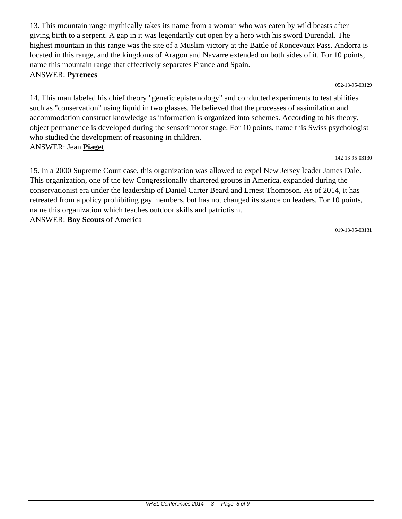13. This mountain range mythically takes its name from a woman who was eaten by wild beasts after giving birth to a serpent. A gap in it was legendarily cut open by a hero with his sword Durendal. The highest mountain in this range was the site of a Muslim victory at the Battle of Roncevaux Pass. Andorra is located in this range, and the kingdoms of Aragon and Navarre extended on both sides of it. For 10 points, name this mountain range that effectively separates France and Spain. ANSWER: **Pyrenees**

052-13-95-03129

14. This man labeled his chief theory "genetic epistemology" and conducted experiments to test abilities such as "conservation" using liquid in two glasses. He believed that the processes of assimilation and accommodation construct knowledge as information is organized into schemes. According to his theory, object permanence is developed during the sensorimotor stage. For 10 points, name this Swiss psychologist who studied the development of reasoning in children. ANSWER: Jean **Piaget**

142-13-95-03130

15. In a 2000 Supreme Court case, this organization was allowed to expel New Jersey leader James Dale. This organization, one of the few Congressionally chartered groups in America, expanded during the conservationist era under the leadership of Daniel Carter Beard and Ernest Thompson. As of 2014, it has retreated from a policy prohibiting gay members, but has not changed its stance on leaders. For 10 points, name this organization which teaches outdoor skills and patriotism. ANSWER: **Boy Scouts** of America